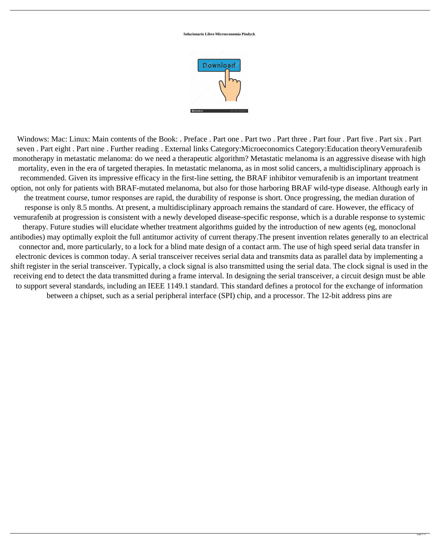**Solucionario Libro Microeconomia Pindyck**



Windows: Mac: Linux: Main contents of the Book: . Preface . Part one . Part two . Part three . Part four . Part five . Part six . Part seven . Part eight . Part nine . Further reading . External links Category:Microeconomics Category:Education theoryVemurafenib monotherapy in metastatic melanoma: do we need a therapeutic algorithm? Metastatic melanoma is an aggressive disease with high mortality, even in the era of targeted therapies. In metastatic melanoma, as in most solid cancers, a multidisciplinary approach is recommended. Given its impressive efficacy in the first-line setting, the BRAF inhibitor vemurafenib is an important treatment option, not only for patients with BRAF-mutated melanoma, but also for those harboring BRAF wild-type disease. Although early in the treatment course, tumor responses are rapid, the durability of response is short. Once progressing, the median duration of response is only 8.5 months. At present, a multidisciplinary approach remains the standard of care. However, the efficacy of vemurafenib at progression is consistent with a newly developed disease-specific response, which is a durable response to systemic therapy. Future studies will elucidate whether treatment algorithms guided by the introduction of new agents (eg, monoclonal antibodies) may optimally exploit the full antitumor activity of current therapy.The present invention relates generally to an electrical connector and, more particularly, to a lock for a blind mate design of a contact arm. The use of high speed serial data transfer in electronic devices is common today. A serial transceiver receives serial data and transmits data as parallel data by implementing a shift register in the serial transceiver. Typically, a clock signal is also transmitted using the serial data. The clock signal is used in the receiving end to detect the data transmitted during a frame interval. In designing the serial transceiver, a circuit design must be able to support several standards, including an IEEE 1149.1 standard. This standard defines a protocol for the exchange of information between a chipset, such as a serial peripheral interface (SPI) chip, and a processor. The 12-bit address pins are